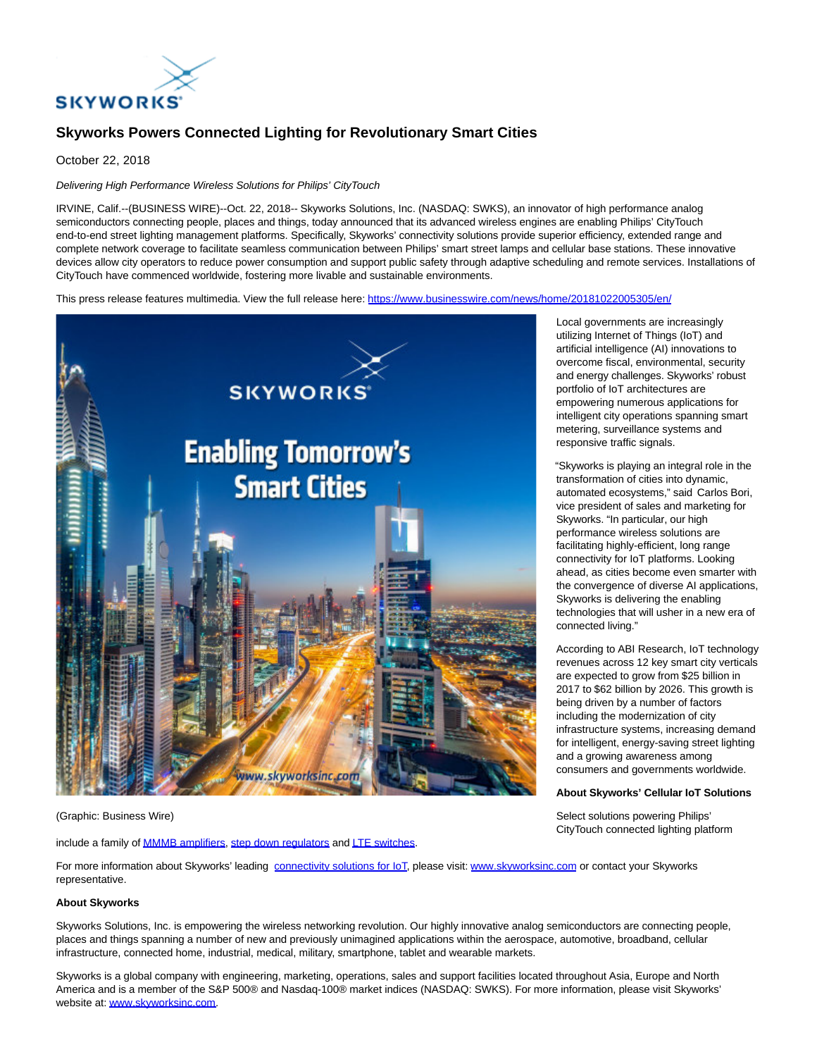

# **Skyworks Powers Connected Lighting for Revolutionary Smart Cities**

October 22, 2018

## Delivering High Performance Wireless Solutions for Philips' CityTouch

IRVINE, Calif.--(BUSINESS WIRE)--Oct. 22, 2018-- Skyworks Solutions, Inc. (NASDAQ: SWKS), an innovator of high performance analog semiconductors connecting people, places and things, today announced that its advanced wireless engines are enabling Philips' CityTouch end-to-end street lighting management platforms. Specifically, Skyworks' connectivity solutions provide superior efficiency, extended range and complete network coverage to facilitate seamless communication between Philips' smart street lamps and cellular base stations. These innovative devices allow city operators to reduce power consumption and support public safety through adaptive scheduling and remote services. Installations of CityTouch have commenced worldwide, fostering more livable and sustainable environments.

This press release features multimedia. View the full release here:<https://www.businesswire.com/news/home/20181022005305/en/>



#### (Graphic: Business Wire)

include a family o[f MMMB amplifiers,](http://cts.businesswire.com/ct/CT?id=smartlink&url=http%3A%2F%2Fwww.skyworksinc.com%2FProducts%2F485%2FMultimode_Multiband_%28MMMB%29_PAs%2F%3Fsource%3Dpr&esheet=51886497&newsitemid=20181022005305&lan=en-US&anchor=MMMB+amplifiers&index=1&md5=e06a35b5ef1d6f9c773d2035558415b7) [step down regulators a](http://cts.businesswire.com/ct/CT?id=smartlink&url=http%3A%2F%2Fwww.skyworksinc.com%2FProduct%2F1658%2FSKY87000-13%2F%3Fsource%3Dpr&esheet=51886497&newsitemid=20181022005305&lan=en-US&anchor=step+down+regulators&index=2&md5=cb96ed25af9ac0812f315b292af0a850)n[d LTE switches.](http://cts.businesswire.com/ct/CT?id=smartlink&url=http%3A%2F%2Fwww.skyworksinc.com%2FProduct%2F3387%2FSKY13525-646LF%2F%3Fsource%3Dpr&esheet=51886497&newsitemid=20181022005305&lan=en-US&anchor=LTE+switches&index=3&md5=5c7de6b04a49fde94ef930657db5e615)

For more information about Skyworks' leading [connectivity solutions for IoT,](http://cts.businesswire.com/ct/CT?id=smartlink&url=http%3A%2F%2Fwww.skyworksinc.com%2Fproducts_IoT.aspx%2Fsource%3Dpr&esheet=51886497&newsitemid=20181022005305&lan=en-US&anchor=connectivity+solutions+for+IoT&index=4&md5=bcc6325c4fa187380d5bdb046298091d) please visit: [www.skyworksinc.com o](http://cts.businesswire.com/ct/CT?id=smartlink&url=http%3A%2F%2Fwww.skyworksinc.com&esheet=51886497&newsitemid=20181022005305&lan=en-US&anchor=www.skyworksinc.com&index=5&md5=8b3066a02924851c451012b6b57f398c)r contact your Skyworks representative.

## **About Skyworks**

Skyworks Solutions, Inc. is empowering the wireless networking revolution. Our highly innovative analog semiconductors are connecting people, places and things spanning a number of new and previously unimagined applications within the aerospace, automotive, broadband, cellular infrastructure, connected home, industrial, medical, military, smartphone, tablet and wearable markets.

Skyworks is a global company with engineering, marketing, operations, sales and support facilities located throughout Asia, Europe and North America and is a member of the S&P 500® and Nasdaq-100® market indices (NASDAQ: SWKS). For more information, please visit Skyworks' website at[: www.skyworksinc.com.](http://cts.businesswire.com/ct/CT?id=smartlink&url=http%3A%2F%2Fwww.skyworksinc.com&esheet=51886497&newsitemid=20181022005305&lan=en-US&anchor=www.skyworksinc.com&index=6&md5=b19fdb25a3109bad2e209268a4a5e33f)

Local governments are increasingly utilizing Internet of Things (IoT) and artificial intelligence (AI) innovations to overcome fiscal, environmental, security and energy challenges. Skyworks' robust portfolio of IoT architectures are empowering numerous applications for intelligent city operations spanning smart metering, surveillance systems and responsive traffic signals.

"Skyworks is playing an integral role in the transformation of cities into dynamic, automated ecosystems," said Carlos Bori, vice president of sales and marketing for Skyworks. "In particular, our high performance wireless solutions are facilitating highly-efficient, long range connectivity for IoT platforms. Looking ahead, as cities become even smarter with the convergence of diverse AI applications, Skyworks is delivering the enabling technologies that will usher in a new era of connected living."

According to ABI Research, IoT technology revenues across 12 key smart city verticals are expected to grow from \$25 billion in 2017 to \$62 billion by 2026. This growth is being driven by a number of factors including the modernization of city infrastructure systems, increasing demand for intelligent, energy-saving street lighting and a growing awareness among consumers and governments worldwide.

#### **About Skyworks' Cellular IoT Solutions**

Select solutions powering Philips' CityTouch connected lighting platform